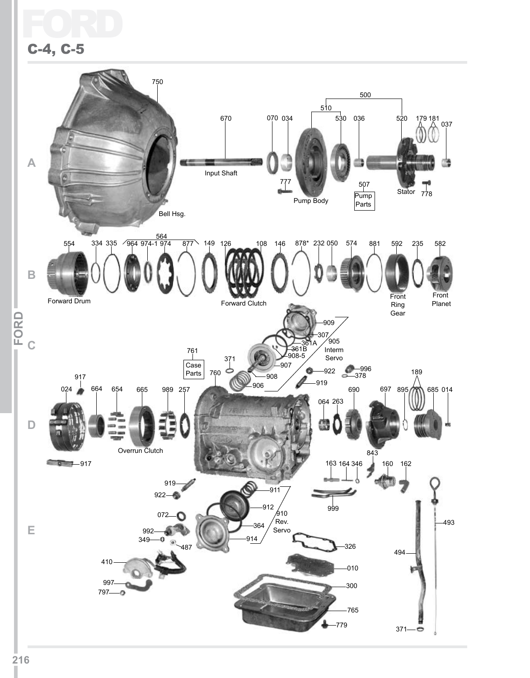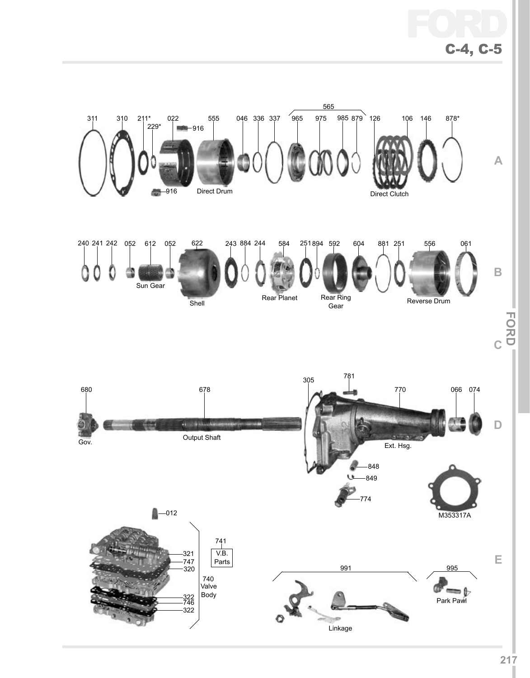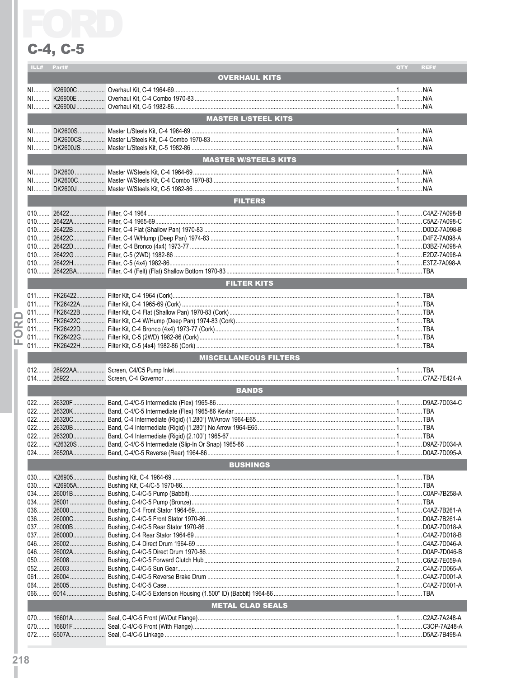

|       | LL# Part#               |                                           | <b>CLI</b><br>REF |  |  |  |  |
|-------|-------------------------|-------------------------------------------|-------------------|--|--|--|--|
|       |                         | <b>OVERHAUL KITS</b>                      |                   |  |  |  |  |
|       |                         |                                           |                   |  |  |  |  |
|       |                         |                                           |                   |  |  |  |  |
|       |                         |                                           |                   |  |  |  |  |
|       |                         | MASTER L/STEEL KITS AND LODGED AND LODGED |                   |  |  |  |  |
|       |                         |                                           |                   |  |  |  |  |
|       |                         |                                           |                   |  |  |  |  |
|       |                         |                                           |                   |  |  |  |  |
|       |                         | MASTER W/STEELS KITS NAMED AND DEVICE     |                   |  |  |  |  |
|       |                         |                                           |                   |  |  |  |  |
|       |                         |                                           |                   |  |  |  |  |
|       |                         |                                           |                   |  |  |  |  |
|       |                         |                                           |                   |  |  |  |  |
|       |                         | <b>FILTERS</b>                            |                   |  |  |  |  |
|       |                         |                                           |                   |  |  |  |  |
|       |                         |                                           |                   |  |  |  |  |
|       |                         |                                           |                   |  |  |  |  |
|       |                         |                                           |                   |  |  |  |  |
|       |                         |                                           |                   |  |  |  |  |
|       |                         |                                           |                   |  |  |  |  |
|       |                         |                                           |                   |  |  |  |  |
|       |                         |                                           |                   |  |  |  |  |
|       |                         | <b>FILTER KITS</b>                        |                   |  |  |  |  |
|       |                         |                                           |                   |  |  |  |  |
|       |                         |                                           |                   |  |  |  |  |
|       |                         |                                           |                   |  |  |  |  |
|       |                         |                                           |                   |  |  |  |  |
| œ     |                         |                                           |                   |  |  |  |  |
| O     |                         |                                           |                   |  |  |  |  |
| ட     |                         |                                           |                   |  |  |  |  |
|       |                         | <b>MISCELLANEOUS FILTERS</b>              |                   |  |  |  |  |
|       |                         |                                           |                   |  |  |  |  |
| $014$ |                         |                                           |                   |  |  |  |  |
|       |                         | <b>BANDS</b>                              |                   |  |  |  |  |
|       |                         |                                           |                   |  |  |  |  |
|       |                         |                                           |                   |  |  |  |  |
|       |                         |                                           |                   |  |  |  |  |
|       |                         |                                           |                   |  |  |  |  |
|       |                         |                                           |                   |  |  |  |  |
|       |                         |                                           |                   |  |  |  |  |
|       |                         |                                           |                   |  |  |  |  |
|       |                         | <b>BUSHINGS</b>                           |                   |  |  |  |  |
| $030$ |                         |                                           |                   |  |  |  |  |
| $030$ |                         |                                           |                   |  |  |  |  |
|       |                         |                                           |                   |  |  |  |  |
|       |                         |                                           |                   |  |  |  |  |
| $036$ | $26000$                 |                                           | . C4AZ-7B261-A    |  |  |  |  |
| $036$ |                         |                                           |                   |  |  |  |  |
|       |                         |                                           |                   |  |  |  |  |
|       |                         |                                           |                   |  |  |  |  |
| 046   |                         |                                           |                   |  |  |  |  |
| 046   |                         |                                           | .D0AP-7D046-B     |  |  |  |  |
| $050$ |                         |                                           |                   |  |  |  |  |
| 052   |                         |                                           |                   |  |  |  |  |
| 061   |                         |                                           |                   |  |  |  |  |
|       |                         |                                           |                   |  |  |  |  |
|       |                         |                                           |                   |  |  |  |  |
|       | <b>METAL CLAD SEALS</b> |                                           |                   |  |  |  |  |
|       |                         |                                           |                   |  |  |  |  |
| 070   |                         |                                           | C3OP-7A248-A      |  |  |  |  |
| 072   |                         |                                           | .D5AZ-7B498-A     |  |  |  |  |
|       |                         |                                           |                   |  |  |  |  |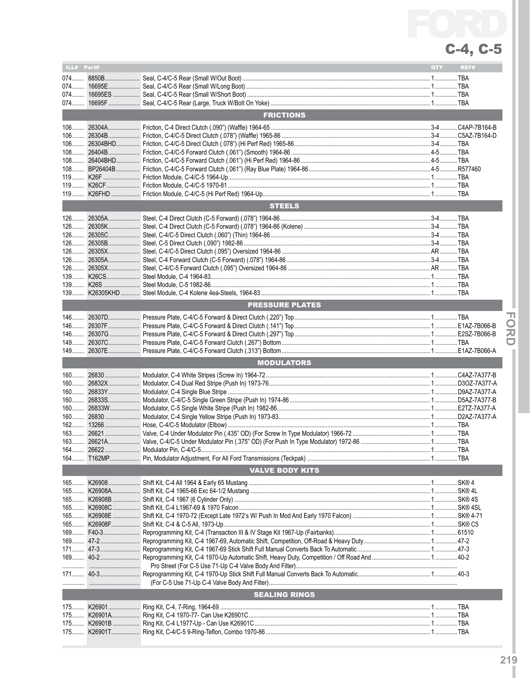

| ILL# Part# |                        | QTY | REF# |
|------------|------------------------|-----|------|
| 074        |                        |     |      |
|            |                        |     |      |
|            |                        |     |      |
| 074        |                        |     |      |
|            |                        |     |      |
|            |                        |     |      |
|            | <b>FRICTIONS</b>       |     |      |
|            |                        |     |      |
|            |                        |     |      |
| $106$      |                        |     |      |
| $106$      |                        |     |      |
|            |                        |     |      |
|            |                        |     |      |
|            |                        |     |      |
| $108$      |                        |     |      |
|            |                        |     |      |
| $119$      |                        |     |      |
|            |                        |     |      |
| $119$      |                        |     |      |
|            | <b>STEELS</b>          |     |      |
|            |                        |     |      |
|            |                        |     |      |
|            |                        |     |      |
|            |                        |     |      |
|            |                        |     |      |
|            |                        |     |      |
|            |                        |     |      |
|            |                        |     |      |
|            |                        |     |      |
| $126$      |                        |     |      |
|            |                        |     |      |
|            |                        |     |      |
|            |                        |     |      |
|            |                        |     |      |
|            | <b>PRESSURE PLATES</b> |     |      |
|            |                        |     |      |
|            |                        |     |      |
|            |                        |     |      |
|            |                        |     |      |
|            |                        |     |      |
|            |                        |     |      |
| 149        |                        |     |      |
|            | <b>MODULATORS</b>      |     |      |
|            |                        |     |      |
|            |                        |     |      |
|            |                        |     |      |
|            |                        |     |      |
|            |                        |     |      |
|            |                        |     |      |
|            |                        |     |      |
|            |                        |     |      |
|            |                        |     |      |
|            |                        |     |      |
|            |                        |     |      |
|            |                        |     |      |
| $163$      |                        |     |      |
|            |                        |     |      |
|            |                        |     |      |
|            |                        |     |      |
|            | <b>VALVE BODY KITS</b> |     |      |
|            |                        |     |      |
|            |                        |     |      |
|            |                        |     |      |
|            |                        |     |      |
|            |                        |     |      |
|            |                        |     |      |
|            |                        |     |      |
|            |                        |     |      |
|            |                        |     |      |
|            |                        |     |      |
|            |                        |     |      |
|            |                        |     |      |
|            |                        |     |      |
|            |                        |     |      |
|            |                        |     |      |
|            |                        |     |      |
|            |                        |     |      |
|            | <b>SEALING RINGS</b>   |     |      |
|            |                        |     |      |
|            |                        |     |      |
|            |                        |     |      |
|            |                        |     |      |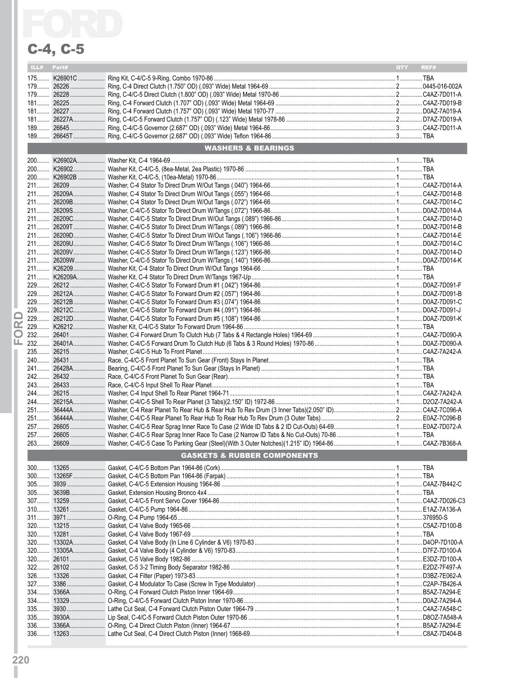|           | ILL# Part#                             |  |                               | <b>QTY</b> | REF#          |  |  |  |  |
|-----------|----------------------------------------|--|-------------------------------|------------|---------------|--|--|--|--|
|           |                                        |  |                               |            |               |  |  |  |  |
|           |                                        |  |                               |            |               |  |  |  |  |
|           |                                        |  |                               |            |               |  |  |  |  |
|           |                                        |  |                               |            |               |  |  |  |  |
|           |                                        |  |                               |            |               |  |  |  |  |
|           |                                        |  |                               |            |               |  |  |  |  |
|           |                                        |  |                               |            |               |  |  |  |  |
|           |                                        |  |                               |            |               |  |  |  |  |
|           |                                        |  |                               |            |               |  |  |  |  |
|           |                                        |  | <b>WASHERS &amp; BEARINGS</b> |            |               |  |  |  |  |
|           |                                        |  |                               |            |               |  |  |  |  |
|           |                                        |  |                               |            |               |  |  |  |  |
|           |                                        |  |                               |            |               |  |  |  |  |
|           |                                        |  |                               |            |               |  |  |  |  |
|           |                                        |  |                               |            |               |  |  |  |  |
|           |                                        |  |                               |            |               |  |  |  |  |
|           |                                        |  |                               |            |               |  |  |  |  |
|           |                                        |  |                               |            |               |  |  |  |  |
|           |                                        |  |                               |            |               |  |  |  |  |
|           |                                        |  |                               |            |               |  |  |  |  |
|           |                                        |  |                               |            |               |  |  |  |  |
|           |                                        |  |                               |            |               |  |  |  |  |
|           |                                        |  |                               |            |               |  |  |  |  |
|           |                                        |  |                               |            |               |  |  |  |  |
|           |                                        |  |                               |            |               |  |  |  |  |
|           |                                        |  |                               |            |               |  |  |  |  |
|           |                                        |  |                               |            |               |  |  |  |  |
|           |                                        |  |                               |            |               |  |  |  |  |
|           |                                        |  |                               |            |               |  |  |  |  |
|           |                                        |  |                               |            |               |  |  |  |  |
| ≃         |                                        |  |                               |            |               |  |  |  |  |
| $\bullet$ |                                        |  |                               |            |               |  |  |  |  |
| ட         |                                        |  |                               |            |               |  |  |  |  |
|           |                                        |  |                               |            |               |  |  |  |  |
|           |                                        |  |                               |            |               |  |  |  |  |
|           |                                        |  |                               |            |               |  |  |  |  |
|           |                                        |  |                               |            |               |  |  |  |  |
|           |                                        |  |                               |            |               |  |  |  |  |
|           |                                        |  |                               |            |               |  |  |  |  |
|           |                                        |  |                               |            |               |  |  |  |  |
|           |                                        |  |                               |            |               |  |  |  |  |
|           |                                        |  |                               |            |               |  |  |  |  |
|           |                                        |  |                               |            |               |  |  |  |  |
|           |                                        |  |                               |            |               |  |  |  |  |
|           |                                        |  |                               |            |               |  |  |  |  |
|           | <b>GASKETS &amp; RUBBER COMPONENTS</b> |  |                               |            |               |  |  |  |  |
|           |                                        |  |                               |            |               |  |  |  |  |
|           | $300$                                  |  |                               |            |               |  |  |  |  |
|           |                                        |  |                               |            |               |  |  |  |  |
|           |                                        |  |                               |            |               |  |  |  |  |
|           | $305$                                  |  |                               |            |               |  |  |  |  |
|           |                                        |  |                               |            |               |  |  |  |  |
|           |                                        |  |                               |            |               |  |  |  |  |
|           |                                        |  |                               |            |               |  |  |  |  |
|           |                                        |  |                               |            |               |  |  |  |  |
|           | $320$                                  |  |                               |            |               |  |  |  |  |
|           |                                        |  |                               |            | .D4OP-7D100-A |  |  |  |  |
|           |                                        |  |                               |            |               |  |  |  |  |
|           |                                        |  |                               |            |               |  |  |  |  |
|           | $322$                                  |  |                               |            |               |  |  |  |  |
|           | $326$                                  |  |                               |            |               |  |  |  |  |
|           | $327$                                  |  |                               |            |               |  |  |  |  |
|           | $334$                                  |  |                               |            |               |  |  |  |  |
|           |                                        |  |                               |            |               |  |  |  |  |
|           | $335$                                  |  |                               |            |               |  |  |  |  |
|           | $335$                                  |  |                               |            |               |  |  |  |  |
|           | $336$                                  |  |                               |            | B5AZ-7A294-E. |  |  |  |  |
|           |                                        |  |                               |            |               |  |  |  |  |
|           |                                        |  |                               |            |               |  |  |  |  |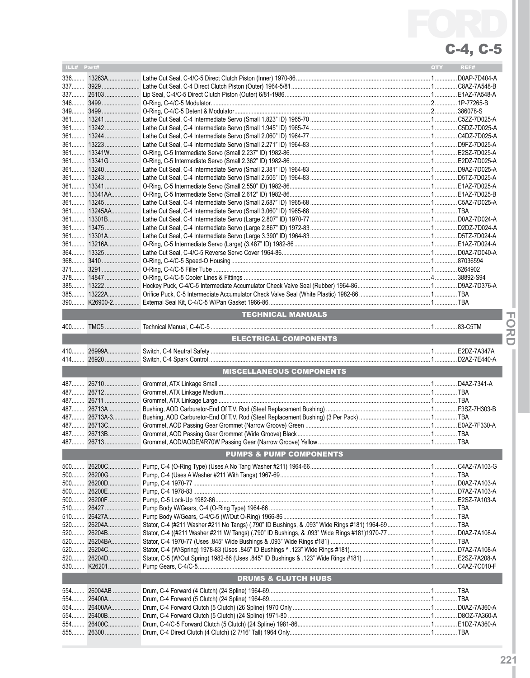

| 346                                                                                                                |  |
|--------------------------------------------------------------------------------------------------------------------|--|
|                                                                                                                    |  |
|                                                                                                                    |  |
|                                                                                                                    |  |
|                                                                                                                    |  |
|                                                                                                                    |  |
|                                                                                                                    |  |
|                                                                                                                    |  |
|                                                                                                                    |  |
|                                                                                                                    |  |
|                                                                                                                    |  |
|                                                                                                                    |  |
|                                                                                                                    |  |
|                                                                                                                    |  |
|                                                                                                                    |  |
|                                                                                                                    |  |
|                                                                                                                    |  |
|                                                                                                                    |  |
|                                                                                                                    |  |
|                                                                                                                    |  |
|                                                                                                                    |  |
|                                                                                                                    |  |
|                                                                                                                    |  |
| $371$                                                                                                              |  |
|                                                                                                                    |  |
|                                                                                                                    |  |
|                                                                                                                    |  |
|                                                                                                                    |  |
|                                                                                                                    |  |
| <b>TECHNICAL MANUALS</b>                                                                                           |  |
|                                                                                                                    |  |
| ELECTRICAL COMPONENTS                                                                                              |  |
|                                                                                                                    |  |
|                                                                                                                    |  |
|                                                                                                                    |  |
|                                                                                                                    |  |
| <b>MISCELLANEOUS COMPONENTS</b>                                                                                    |  |
|                                                                                                                    |  |
|                                                                                                                    |  |
|                                                                                                                    |  |
|                                                                                                                    |  |
|                                                                                                                    |  |
|                                                                                                                    |  |
|                                                                                                                    |  |
|                                                                                                                    |  |
| <b>PUMPS &amp; PUMP COMPONENTS</b>                                                                                 |  |
|                                                                                                                    |  |
|                                                                                                                    |  |
|                                                                                                                    |  |
|                                                                                                                    |  |
|                                                                                                                    |  |
| 510                                                                                                                |  |
| 510                                                                                                                |  |
| 26204A  Stator, C-4 (#211 Washer #211 No Tangs) (.790" ID Bushings, & .093" Wide Rings #181) 1964-69  TBA<br>$520$ |  |
|                                                                                                                    |  |
|                                                                                                                    |  |
| 520                                                                                                                |  |
|                                                                                                                    |  |
|                                                                                                                    |  |
| <b>DRUMS &amp; CLUTCH HUBS</b>                                                                                     |  |
|                                                                                                                    |  |
|                                                                                                                    |  |
| 554<br>554                                                                                                         |  |
| 554                                                                                                                |  |
|                                                                                                                    |  |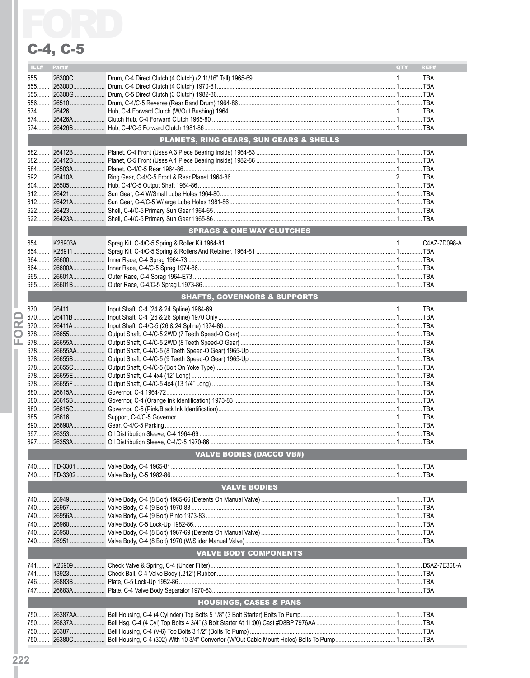|        | ILL# Part# |                                         | QTY | REF# |
|--------|------------|-----------------------------------------|-----|------|
|        | 555        |                                         |     |      |
|        |            |                                         |     |      |
|        |            |                                         |     |      |
|        |            |                                         |     |      |
|        |            |                                         |     |      |
|        |            |                                         |     |      |
|        |            |                                         |     |      |
|        |            |                                         |     |      |
|        |            | PLANETS, RING GEARS, SUN GEARS & SHELLS |     |      |
|        |            |                                         |     |      |
|        |            |                                         |     |      |
|        |            |                                         |     |      |
|        |            |                                         |     |      |
|        |            |                                         |     |      |
|        |            |                                         |     |      |
|        |            |                                         |     |      |
|        |            |                                         |     |      |
|        |            |                                         |     |      |
|        |            |                                         |     |      |
|        |            | SPRAGS & ONE WAY CLUTCHES               |     |      |
|        |            |                                         |     |      |
|        |            |                                         |     |      |
|        |            |                                         |     |      |
|        |            |                                         |     |      |
|        |            |                                         |     |      |
|        |            |                                         |     |      |
|        |            | <b>SHAFTS. GOVERNORS &amp; SUPPORTS</b> |     |      |
|        |            |                                         |     |      |
|        |            |                                         |     |      |
| ▭      |            |                                         |     |      |
| œ      |            |                                         |     |      |
| $\Box$ |            |                                         |     |      |
| ய      |            |                                         |     |      |
|        |            |                                         |     |      |
|        |            |                                         |     |      |
|        |            |                                         |     |      |
|        |            |                                         |     |      |
|        |            |                                         |     |      |
|        |            |                                         |     |      |
|        |            |                                         |     |      |
|        |            |                                         |     |      |
|        |            |                                         |     |      |
|        |            |                                         |     |      |
|        |            |                                         |     |      |
|        | 697        |                                         |     |      |
|        |            | <b>VALVE BODIES (DACCO VB#)</b>         |     |      |
|        |            |                                         |     |      |
|        |            |                                         |     |      |
|        |            |                                         |     |      |
|        |            | <b>VALVE BODIES</b>                     |     |      |
|        |            |                                         |     |      |
|        |            |                                         |     |      |
|        |            |                                         |     |      |
|        |            |                                         |     |      |
|        |            |                                         |     |      |
|        |            |                                         |     |      |
|        |            |                                         |     |      |
|        |            | <b>VALVE BODY COMPONENTS</b>            |     |      |
|        |            |                                         |     |      |
|        |            |                                         |     |      |
|        |            |                                         |     |      |
|        |            |                                         |     |      |

|  | ГВА                               |  |
|--|-----------------------------------|--|
|  | <b>HOUSINGS, CASES &amp; PANS</b> |  |
|  |                                   |  |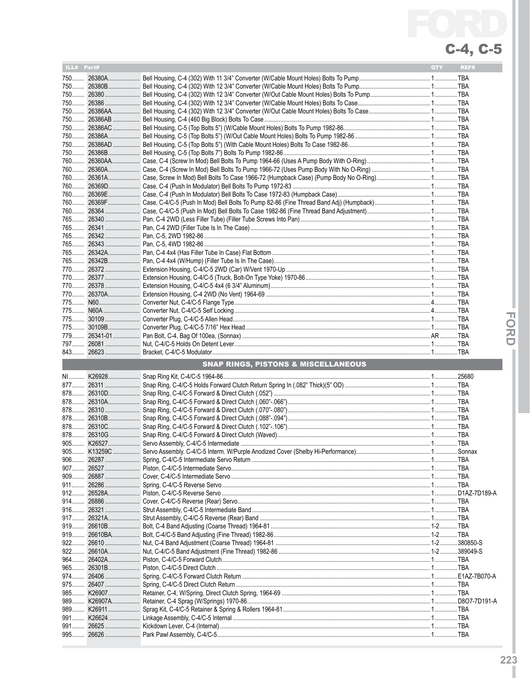| ILL# Part# |                                                | QTY | REF# |
|------------|------------------------------------------------|-----|------|
|            |                                                |     |      |
| 750<br>750 |                                                |     |      |
|            |                                                |     |      |
| 750        |                                                |     |      |
| 750        |                                                |     |      |
| 750        |                                                |     |      |
| 750        |                                                |     |      |
|            |                                                |     |      |
| 750        |                                                |     |      |
|            |                                                |     |      |
| 760        |                                                |     |      |
|            |                                                |     |      |
|            |                                                |     |      |
|            |                                                |     |      |
|            |                                                |     |      |
|            |                                                |     |      |
|            |                                                |     |      |
|            |                                                |     |      |
|            |                                                |     |      |
|            |                                                |     |      |
|            |                                                |     |      |
|            |                                                |     |      |
|            |                                                |     |      |
|            |                                                |     |      |
|            |                                                |     |      |
| 770        |                                                |     |      |
|            |                                                |     |      |
| $775$      |                                                |     |      |
|            |                                                |     |      |
|            |                                                |     |      |
|            |                                                |     |      |
|            |                                                |     |      |
|            |                                                |     |      |
|            | <b>SNAP RINGS, PISTONS &amp; MISCELLANEOUS</b> |     |      |
|            |                                                |     |      |
|            |                                                |     |      |
|            |                                                |     |      |
|            |                                                |     |      |
|            |                                                |     |      |
|            |                                                |     |      |
|            |                                                |     |      |
|            |                                                |     |      |
|            |                                                |     |      |
|            |                                                |     |      |
| $906$      |                                                |     |      |
| 907        |                                                |     |      |
|            |                                                |     |      |
| $912$      |                                                |     |      |
| $914$      |                                                |     |      |
| 916        |                                                |     |      |
| 917        |                                                |     |      |
| 919        |                                                |     |      |
| 919        |                                                |     |      |
| $922$      |                                                |     |      |
| $922$      |                                                |     |      |
| 964        |                                                |     |      |
|            |                                                |     |      |
|            |                                                |     |      |
| 975        |                                                |     |      |
| 985        |                                                |     |      |
|            |                                                |     |      |
| 989        |                                                |     |      |
| 991        |                                                |     |      |
| 991<br>995 |                                                |     |      |
|            |                                                |     |      |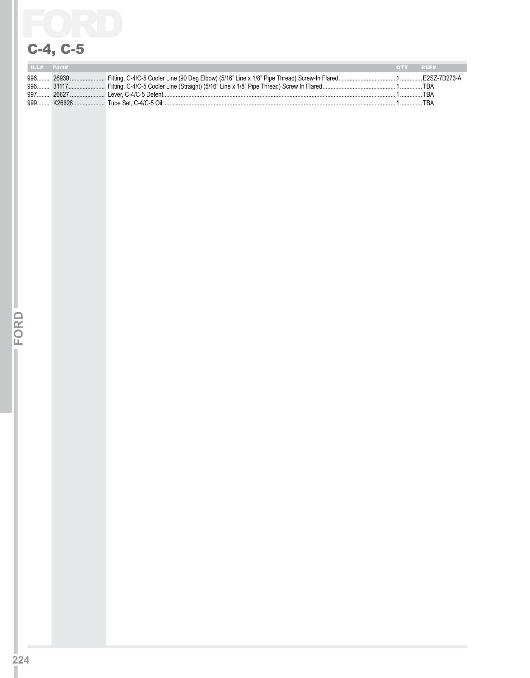

| ILL# Part# |  | OTY REF# |     |
|------------|--|----------|-----|
|            |  |          |     |
|            |  |          |     |
|            |  |          | TRA |
|            |  |          |     |